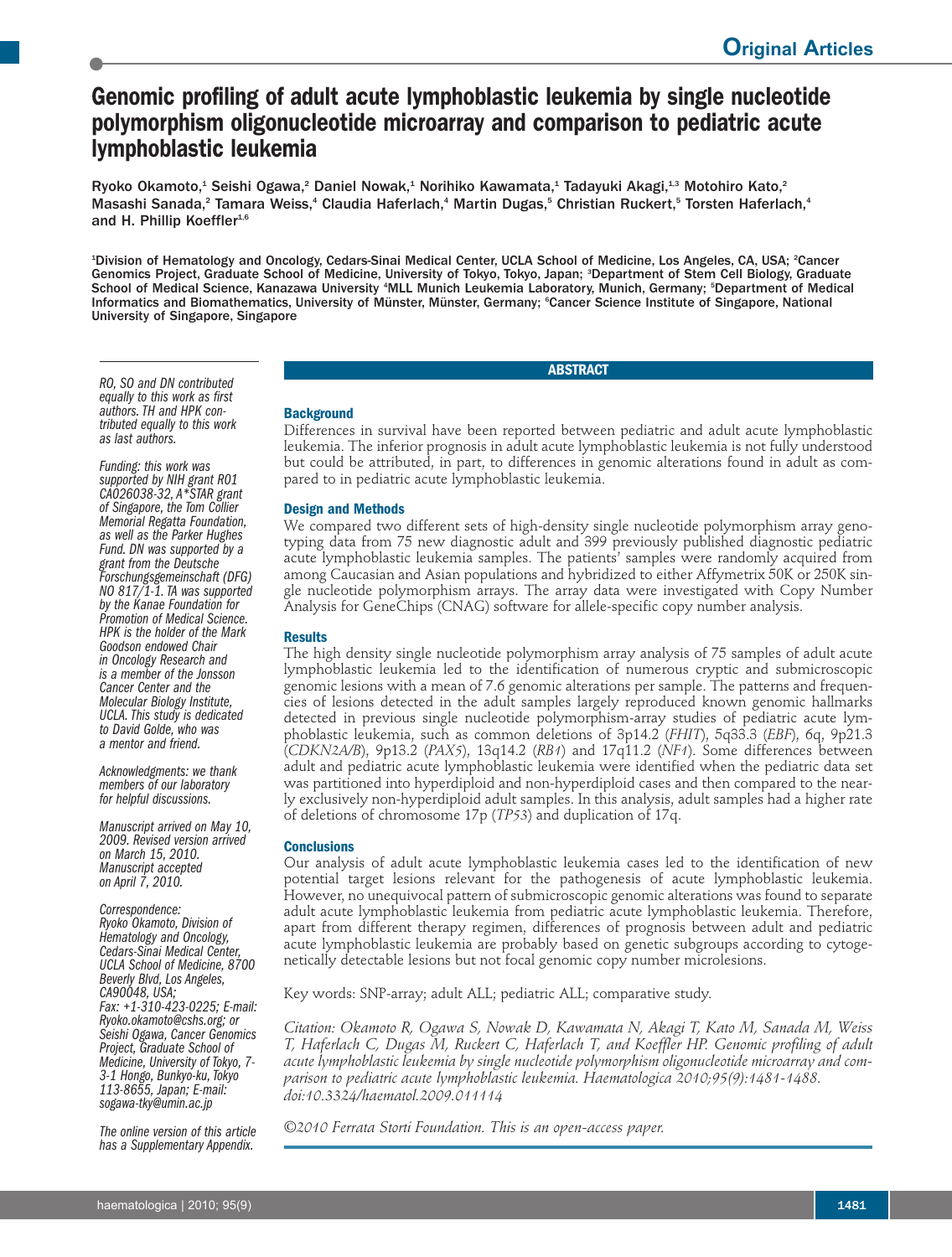# **Genomic profiling of adult acute lymphoblastic leukemia by single nucleotide polymorphism oligonucleotide microarray and comparison to pediatric acute lymphoblastic leukemia**

Ryoko Okamoto,<sup>1</sup> Seishi Ogawa,<sup>2</sup> Daniel Nowak,<sup>1</sup> Norihiko Kawamata,<sup>1</sup> Tadayuki Akagi,<sup>1,3</sup> Motohiro Kato,<sup>2</sup> Masashi Sanada,<sup>2</sup> Tamara Weiss,<sup>4</sup> Claudia Haferlach,<sup>4</sup> Martin Dugas,<sup>5</sup> Christian Ruckert,<sup>5</sup> Torsten Haferlach,<sup>4</sup> and H. Phillip Koeffler<sup>1,6</sup>

<sup>1</sup>Division of Hematology and Oncology, Cedars-Sinai Medical Center, UCLA School of Medicine, Los Angeles, CA, USA; <sup>2</sup>Cancer Genomics Project, Graduate School of Medicine, University of Tokyo, Tokyo, Japan; <sup>3</sup> Department of Stem Cell Biology, Graduate School of Medical Science, Kanazawa University <sup>4</sup>MLL Munich Leukemia Laboratory, Munich, Germany; <sup>s</sup>Department of Medical Informatics and Biomathematics, University of Münster, Münster, Germany; <sup>e</sup>Cancer Science Institute of Singapore, National University of Singapore, Singapore

## **ABSTRACT**

*RO, SO and DN contributed equally to this work as first authors.TH and HPK con- tributed equally to this work as last authors.*

*Funding: this work was supported by NIH grant R01 CA026038-32, A\*STAR grant of Singapore, the Tom Collier Memorial Regatta Foundation, as well as the Parker Hughes Fund. DN was supported by a grant from the Deutsche Forschungsgemeinschaft (DFG) NO 817/1-1.TA was supported by the Kanae Foundation for Promotion of Medical Science. HPK is the holder of the Mark Goodson endowed Chair in Oncology Research and is a member of the Jonsson Cancer Center and the Molecular Biology Institute, UCLA.This study is dedicated to David Golde, who was a mentor and friend.*

*Acknowledgments: we thank members of our laboratory for helpful discussions.*

*Manuscript arrived on May 10, 2009. Revised version arrived Manuscript accepted on April 7, 2010.*

*Correspondence:*

*Ryoko Okamoto, Division of Hematology and Oncology, Cedars-Sinai Medical Center, UCLA School of Medicine, <sup>8700</sup> Beverly Blvd, Los Angeles, CA90048, USA; Fax: +1-310-423-0225; E-mail: Ryoko.okamoto@cshs.org; or Seishi Ogawa, Cancer Genomics Project, Graduate School of Medicine, University of Tokyo, 7- 3-1 Hongo, Bunkyo-ku,Tokyo 113-8655, Japan; E-mail: sogawa-tky@umin.ac.jp*

*The online version of this article has a Supplementary Appendix.*

**Background**

Differences in survival have been reported between pediatric and adult acute lymphoblastic leukemia. The inferior prognosis in adult acute lymphoblastic leukemia is not fully understood but could be attributed, in part, to differences in genomic alterations found in adult as compared to in pediatric acute lymphoblastic leukemia.

## **Design and Methods**

We compared two different sets of high-density single nucleotide polymorphism array genotyping data from 75 new diagnostic adult and 399 previously published diagnostic pediatric acute lymphoblastic leukemia samples. The patients' samples were randomly acquired from among Caucasian and Asian populations and hybridized to either Affymetrix 50K or 250K single nucleotide polymorphism arrays. The array data were investigated with Copy Number Analysis for GeneChips (CNAG) software for allele-specific copy number analysis.

#### **Results**

The high density single nucleotide polymorphism array analysis of 75 samples of adult acute lymphoblastic leukemia led to the identification of numerous cryptic and submicroscopic genomic lesions with a mean of 7.6 genomic alterations per sample. The patterns and frequencies of lesions detected in the adult samples largely reproduced known genomic hallmarks detected in previous single nucleotide polymorphism-array studies of pediatric acute lymphoblastic leukemia, such as common deletions of 3p14.2 (*FHIT*), 5q33.3 (*EBF*), 6q, 9p21.3 (*CDKN2A/B*), 9p13.2 (*PAX5*), 13q14.2 (*RB1*) and 17q11.2 (*NF1*). Some differences between adult and pediatric acute lymphoblastic leukemia were identified when the pediatric data set was partitioned into hyperdiploid and non-hyperdiploid cases and then compared to the nearly exclusively non-hyperdiploid adult samples. In this analysis, adult samples had a higher rate of deletions of chromosome 17p (*TP53*) and duplication of 17q.

## **Conclusions**

Our analysis of adult acute lymphoblastic leukemia cases led to the identification of new potential target lesions relevant for the pathogenesis of acute lymphoblastic leukemia. However, no unequivocal pattern of submicroscopic genomic alterations was found to separate adult acute lymphoblastic leukemia from pediatric acute lymphoblastic leukemia. Therefore, apart from different therapy regimen, differences of prognosis between adult and pediatric acute lymphoblastic leukemia are probably based on genetic subgroups according to cytogenetically detectable lesions but not focal genomic copy number microlesions.

Key words: SNP-array; adult ALL; pediatric ALL; comparative study.

*Citation: Okamoto R, Ogawa S, Nowak D, Kawamata N, Akagi T, Kato M, Sanada M, Weiss T, Haferlach C, Dugas M, Ruckert C, Haferlach T, and Koeffler HP. Genomic profiling of adult acute lymphoblastic leukemia by single nucleotide polymorphism oligonucleotide microarray and comparison to pediatric acute lymphoblastic leukemia. Haematologica 2010;95(9):1481-1488. doi:10.3324/haematol.2009.011114*

*©2010 Ferrata Storti Foundation. This is an open-access paper.*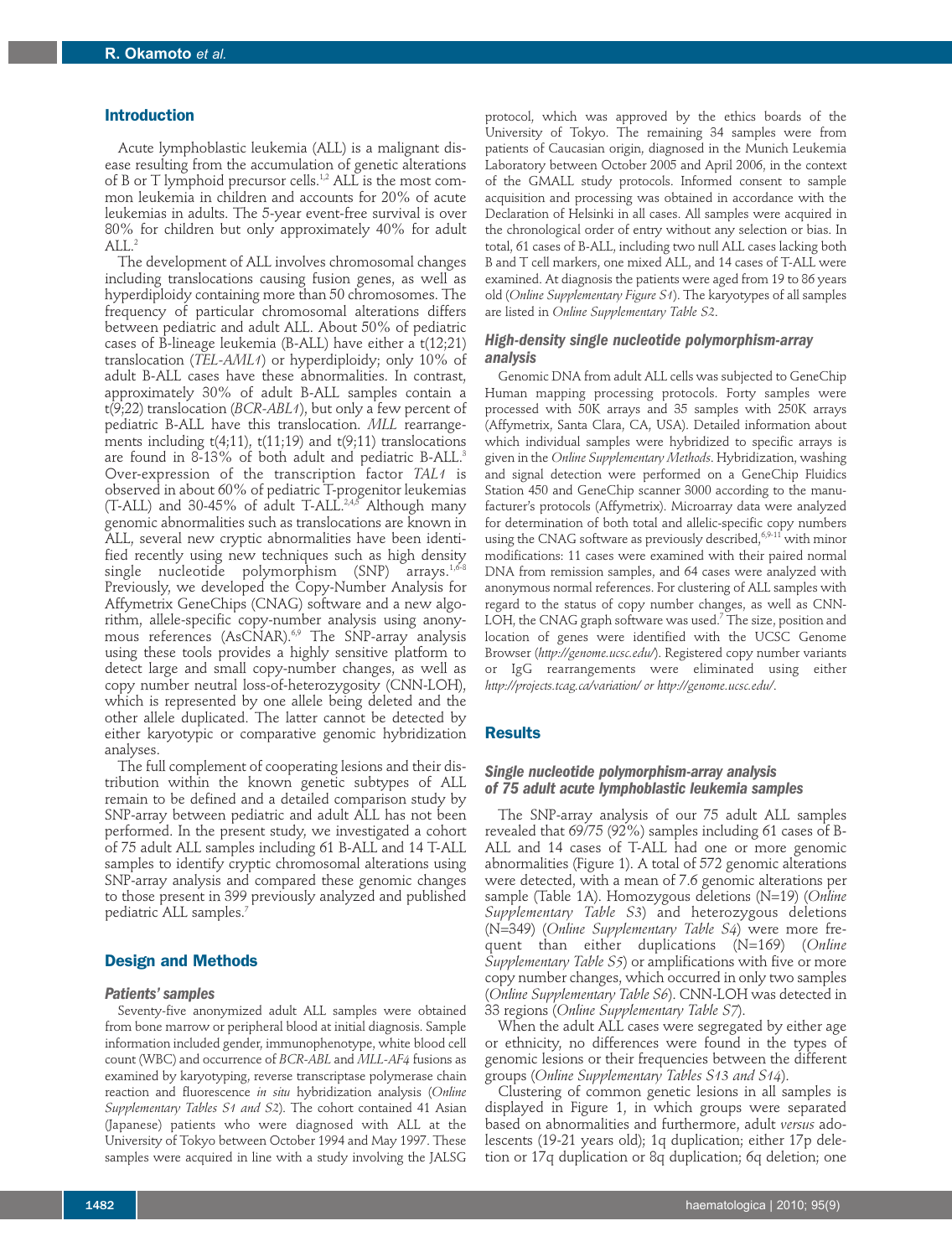#### **Introduction**

Acute lymphoblastic leukemia (ALL) is a malignant disease resulting from the accumulation of genetic alterations of B or T lymphoid precursor cells. 1,2 ALL is the most common leukemia in children and accounts for 20% of acute leukemias in adults. The 5-year event-free survival is over 80% for children but only approximately 40% for adult  $ALL<sup>2</sup>$ 

The development of ALL involves chromosomal changes including translocations causing fusion genes, as well as hyperdiploidy containing more than 50 chromosomes. The frequency of particular chromosomal alterations differs between pediatric and adult ALL. About 50% of pediatric cases of B-lineage leukemia (B-ALL) have either a t(12;21) translocation (*TEL-AML1*) or hyperdiploidy; only 10% of adult B-ALL cases have these abnormalities. In contrast, approximately 30% of adult B-ALL samples contain a t(9;22) translocation (*BCR-ABL1*), but only a few percent of pediatric B-ALL have this translocation. *MLL* rearrangements including  $t(4;11)$ ,  $t(11;19)$  and  $t(9;11)$  translocations are found in 8-13% of both adult and pediatric B-ALL. 3 Over-expression of the transcription factor *TAL1* is observed in about 60% of pediatric T-progenitor leukemias  $(T$ -ALL) and 30-45% of adult T-ALL.<sup>2,4,5</sup> Although many genomic abnormalities such as translocations are known in ALL, several new cryptic abnormalities have been identified recently using new techniques such as high density single nucleotide polymorphism (SNP) arrays.<sup>1,6-8</sup> Previously, we developed the Copy-Number Analysis for Affymetrix GeneChips (CNAG) software and a new algorithm, allele-specific copy-number analysis using anonymous references (AsCNAR). 6,9 The SNP-array analysis using these tools provides a highly sensitive platform to detect large and small copy-number changes, as well as copy number neutral loss-of-heterozygosity (CNN-LOH), which is represented by one allele being deleted and the other allele duplicated. The latter cannot be detected by either karyotypic or comparative genomic hybridization analyses.

The full complement of cooperating lesions and their distribution within the known genetic subtypes of ALL remain to be defined and a detailed comparison study by SNP-array between pediatric and adult ALL has not been performed. In the present study, we investigated a cohort of 75 adult ALL samples including 61 B-ALL and 14 T-ALL samples to identify cryptic chromosomal alterations using SNP-array analysis and compared these genomic changes to those present in 399 previously analyzed and published pediatric ALL samples. 7

## **Design and Methods**

### *Patients' samples*

Seventy-five anonymized adult ALL samples were obtained from bone marrow or peripheral blood at initial diagnosis. Sample information included gender, immunophenotype, white blood cell count (WBC) and occurrence of *BCR-ABL* and *MLL-AF4* fusions as examined by karyotyping, reverse transcriptase polymerase chain reaction and fluorescence *in situ* hybridization analysis (*Online Supplementary Tables S1 and S2*). The cohort contained 41 Asian (Japanese) patients who were diagnosed with ALL at the University of Tokyo between October 1994 and May 1997. These samples were acquired in line with a study involving the JALSG

protocol, which was approved by the ethics boards of the University of Tokyo. The remaining 34 samples were from patients of Caucasian origin, diagnosed in the Munich Leukemia Laboratory between October 2005 and April 2006, in the context of the GMALL study protocols. Informed consent to sample acquisition and processing was obtained in accordance with the Declaration of Helsinki in all cases. All samples were acquired in the chronological order of entry without any selection or bias. In total, 61 cases of B-ALL, including two null ALL cases lacking both B and T cell markers, one mixed ALL, and 14 cases of T-ALL were examined. At diagnosis the patients were aged from 19 to 86 years old (*Online Supplementary Figure S1*). The karyotypes of all samples are listed in *Online Supplementary Table S2*.

## *High-density single nucleotide polymorphism-array analysis*

Genomic DNA from adult ALL cells was subjected to GeneChip Human mapping processing protocols. Forty samples were processed with 50K arrays and 35 samples with 250K arrays (Affymetrix, Santa Clara, CA, USA). Detailed information about which individual samples were hybridized to specific arrays is given in the *Online Supplementary Methods*. Hybridization, washing and signal detection were performed on a GeneChip Fluidics Station 450 and GeneChip scanner 3000 according to the manufacturer's protocols (Affymetrix). Microarray data were analyzed for determination of both total and allelic-specific copy numbers using the CNAG software as previously described,<sup>6,9-11</sup> with minor modifications: 11 cases were examined with their paired normal DNA from remission samples, and 64 cases were analyzed with anonymous normal references. For clustering of ALL samples with regard to the status of copy number changes, as well as CNN-LOH, the CNAG graph software was used.<sup>7</sup> The size, position and location of genes were identified with the UCSC Genome Browser (*http://genome.ucsc.edu/*). Registered copy number variants or IgG rearrangements were eliminated using either *http://projects.tcag.ca/variation/ or http://genome.ucsc.edu/*.

## **Results**

## *Single nucleotide polymorphism-array analysis of 75 adult acute lymphoblastic leukemia samples*

The SNP-array analysis of our 75 adult ALL samples revealed that 69/75 (92%) samples including 61 cases of B-ALL and 14 cases of T-ALL had one or more genomic abnormalities (Figure 1). A total of 572 genomic alterations were detected, with a mean of 7.6 genomic alterations per sample (Table 1A). Homozygous deletions (N=19) (*Online Supplementary Table S3*) and heterozygous deletions (N=349) (*Online Supplementary Table S4*) were more frequent than either duplications (N=169) (*Online Supplementary Table S5*) or amplifications with five or more copy number changes, which occurred in only two samples (*Online Supplementary Table S6*). CNN-LOH was detected in 33 regions (*Online Supplementary Table S7*).

When the adult ALL cases were segregated by either age or ethnicity, no differences were found in the types of genomic lesions or their frequencies between the different groups (*Online Supplementary Tables S13 and S14*).

Clustering of common genetic lesions in all samples is displayed in Figure 1, in which groups were separated based on abnormalities and furthermore, adult *versus* adolescents (19-21 years old); 1q duplication; either 17p deletion or 17q duplication or 8q duplication; 6q deletion; one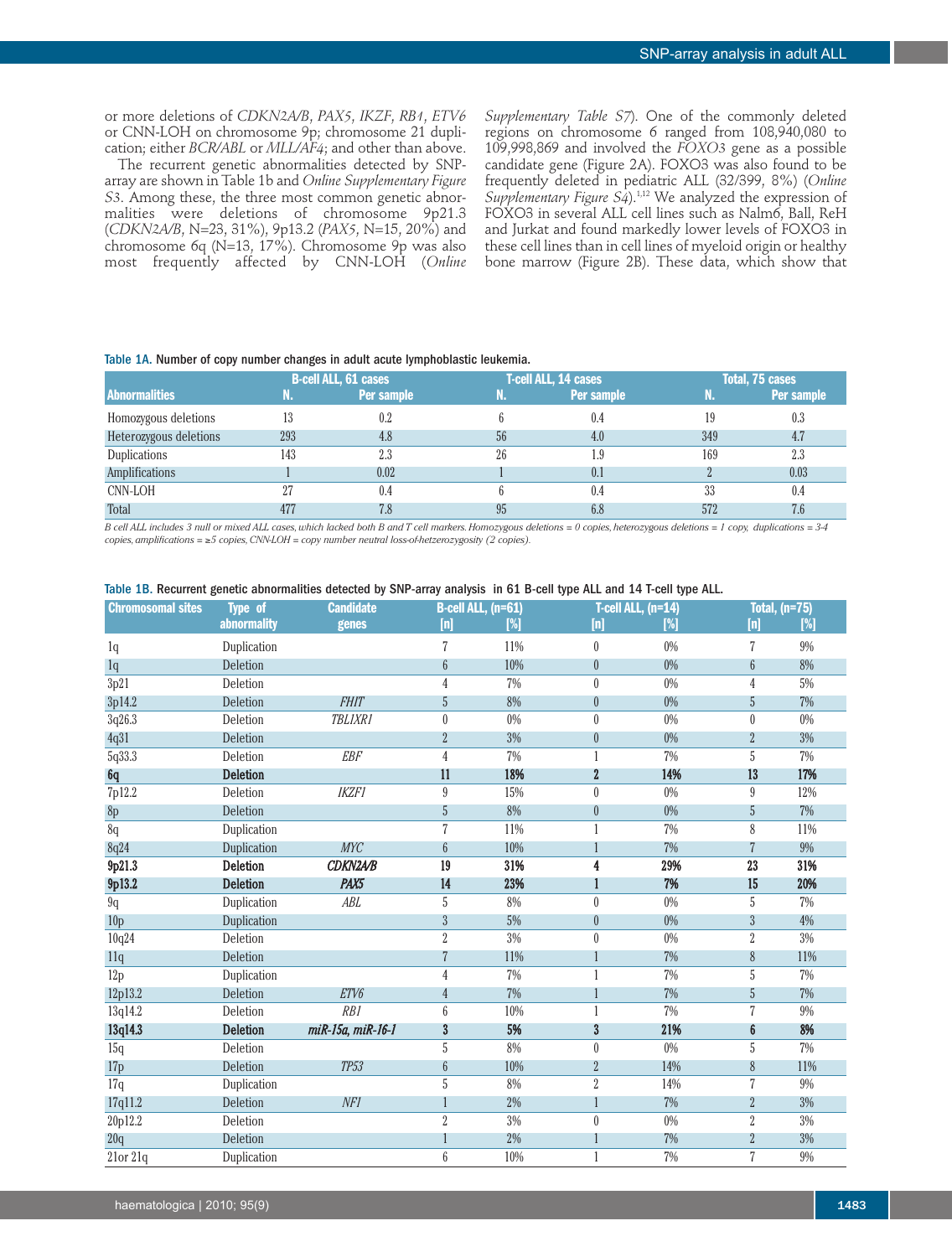or more deletions of *CDKN2A/B*, *PAX5*, *IKZF*, *RB1*, *ETV6* or CNN-LOH on chromosome 9p; chromosome 21 duplication; either *BCR/ABL* or *MLL/AF4*; and other than above.

The recurrent genetic abnormalities detected by SNParray are shown in Table 1b and *Online Supplementary Figure S3*. Among these, the three most common genetic abnormalities were deletions of chromosome 9p21.3 (*CDKN2A/B*, N=23, 31%), 9p13.2 (*PAX5*, N=15, 20%) and chromosome 6q (N=13, 17%). Chromosome 9p was also most frequently affected by CNN-LOH (*Online*

*Supplementary Table S7*). One of the commonly deleted regions on chromosome 6 ranged from 108,940,080 to 109,998,869 and involved the *FOXO3* gene as a possible candidate gene (Figure 2A). FOXO3 was also found to be frequently deleted in pediatric ALL (32/399, 8%) (*Online Supplementary Figure S4*). 1,12 We analyzed the expression of FOXO3 in several ALL cell lines such as Nalm6, Ball, ReH and Jurkat and found markedly lower levels of FOXO3 in these cell lines than in cell lines of myeloid origin or healthy bone marrow (Figure 2B). These data, which show that

#### Table 1A. Number of copy number changes in adult acute lymphoblastic leukemia.

|                        |     | <b>B-cell ALL, 61 cases</b> |    | T-cell ALL, 14 cases | Total, 75 cases |            |  |
|------------------------|-----|-----------------------------|----|----------------------|-----------------|------------|--|
| <b>Abnormalities</b>   | N.  | Per sample                  | m. | Per sample           | IN -            | Per sample |  |
| Homozygous deletions   | 13  | 0.2                         |    | 0.4                  |                 | 0.3        |  |
| Heterozygous deletions | 293 | 4.8                         | 56 | 4.0                  | 349             | 4.7        |  |
| Duplications           | 143 | 2.3                         | 26 | 1.9                  | 169             | 2.3        |  |
| Amplifications         |     | 0.02                        |    | 0.1                  |                 | 0.03       |  |
| <b>CNN-LOH</b>         | 27  | 0.4                         |    | 0.4                  | 33              | 0.4        |  |
| Total                  | 477 | 7.8                         | 95 | 6.8                  | 572             | 7.6        |  |

B cell ALL includes 3 null or mixed ALL cases, which lacked both B and T cell markers. Homozygous deletions = 0 copies, heterozygous deletions = 1 copy, duplications = 3-4 *copies,amplifications =* ≥*5 copies,CNN-LOH = copy number neutral loss-of-hetzerozygosity (2 copies).*

|  |  |  |  | Table 1B. Recurrent genetic abnormalities detected by SNP-array analysis  in 61 B-cell type ALL and 14 T-cell type ALL. |  |  |  |  |  |  |  |  |  |  |
|--|--|--|--|-------------------------------------------------------------------------------------------------------------------------|--|--|--|--|--|--|--|--|--|--|
|--|--|--|--|-------------------------------------------------------------------------------------------------------------------------|--|--|--|--|--|--|--|--|--|--|

| <b>Chromosomal sites</b> | <b>Type of</b>     | <b>Candidate</b>  |                  | <b>B-cell ALL, (n=61)</b> |                  | T-cell ALL, $(n=14)$ |                | <b>Total, (n=75)</b> |
|--------------------------|--------------------|-------------------|------------------|---------------------------|------------------|----------------------|----------------|----------------------|
|                          | <b>abnormality</b> | genes             | $[n]$            | [%]                       | [n]              | $\sqrt{2}$           | [n]            | [%]                  |
| 1q                       | Duplication        |                   | $\overline{7}$   | 11%                       | $\boldsymbol{0}$ | 0%                   | 7              | 9%                   |
| 1q                       | Deletion           |                   | $6\,$            | 10%                       | $\boldsymbol{0}$ | $0\%$                | 6              | 8%                   |
| 3p21                     | Deletion           |                   | 4                | $7\%$                     | $\bf{0}$         | 0%                   | 4              | $5\%$                |
| 3p14.2                   | Deletion           | <b>FHIT</b>       | 5                | 8%                        | $\boldsymbol{0}$ | $0\%$                | 5              | $7\%$                |
| 3q26.3                   | Deletion           | <b>TBLIXR1</b>    | $\boldsymbol{0}$ | $0\%$                     | $\bf{0}$         | $0\%$                | $\theta$       | 0%                   |
| 4q31                     | Deletion           |                   | $\overline{2}$   | $3\%$                     | $\boldsymbol{0}$ | $0\%$                | $\overline{2}$ | $3\%$                |
| 5q33.3                   | Deletion           | <b>EBF</b>        | $\overline{4}$   | 7%                        |                  | 7%                   | 5              | $7\%$                |
| <sub>6q</sub>            | <b>Deletion</b>    |                   | 11               | 18%                       | $\overline{2}$   | 14%                  | 13             | 17%                  |
| 7p12.2                   | Deletion           | <b>IKZF1</b>      | $\boldsymbol{9}$ | 15%                       | $\boldsymbol{0}$ | 0%                   | 9              | 12%                  |
| 8p                       | Deletion           |                   | $\sqrt{5}$       | 8%                        | $\boldsymbol{0}$ | $0\%$                | 5              | 7%                   |
| 8q                       | Duplication        |                   | $\overline{7}$   | 11%                       | 1                | $7\%$                | 8              | 11%                  |
| 8q24                     | Duplication        | <b>MYC</b>        | $\boldsymbol{6}$ | 10%                       |                  | 7%                   |                | $9\%$                |
| 9p21.3                   | Deletion           | <b>CDKN2A/B</b>   | 19               | 31%                       | 4                | 29%                  | 23             | 31%                  |
| 9p13.2                   | <b>Deletion</b>    | PAX <sub>5</sub>  | 14               | 23%                       | 1                | 7%                   | 15             | 20%                  |
| 9q                       | Duplication        | ABL               | $\sqrt{5}$       | 8%                        | $\bf{0}$         | $0\%$                | 5              | $7\%$                |
| 10 <sub>p</sub>          | Duplication        |                   | $\mathfrak{Z}$   | 5%                        | $\overline{0}$   | $0\%$                | 3              | 4%                   |
| 10q24                    | Deletion           |                   | $\overline{2}$   | 3%                        | $\boldsymbol{0}$ | $0\%$                | $\overline{2}$ | 3%                   |
| 11q                      | Deletion           |                   | 7                | 11%                       |                  | 7%                   | 8              | 11%                  |
| 12p                      | Duplication        |                   | $\sqrt{4}$       | $7\%$                     | 1                | 7%                   | 5              | 7%                   |
| 12p13.2                  | Deletion           | ETV6              | $\overline{4}$   | 7%                        |                  | 7%                   | 5              | 7%                   |
| 13q14.2                  | Deletion           | RB1               | $\boldsymbol{6}$ | 10%                       | 1                | 7%                   | 7              | $9\%$                |
| 13q14.3                  | <b>Deletion</b>    | miR-15a, miR-16-1 | $\boldsymbol{3}$ | 5%                        | 3                | 21%                  | 6              | 8%                   |
| 15q                      | Deletion           |                   | $\sqrt{5}$       | 8%                        | 0                | 0%                   | 5              | 7%                   |
| 17p                      | Deletion           | <b>TP53</b>       | $\boldsymbol{6}$ | 10%                       | $\overline{2}$   | 14%                  | 8              | 11%                  |
| 17q                      | Duplication        |                   | $\sqrt{5}$       | 8%                        | $\sqrt{2}$       | 14%                  | 7              | $9\%$                |
| 17q11.2                  | Deletion           | NF1               |                  | 2%                        |                  | 7%                   | $\overline{2}$ | 3%                   |
| 20p12.2                  | Deletion           |                   | $\sqrt{2}$       | $3\%$                     | $\boldsymbol{0}$ | $0\%$                | $\overline{2}$ | $3\%$                |
| 20q                      | Deletion           |                   |                  | 2%                        |                  | 7%                   | $\overline{2}$ | 3%                   |
| $21$ or $21q$            | Duplication        |                   | $\boldsymbol{6}$ | 10%                       | 1                | 7%                   | 7              | $9\%$                |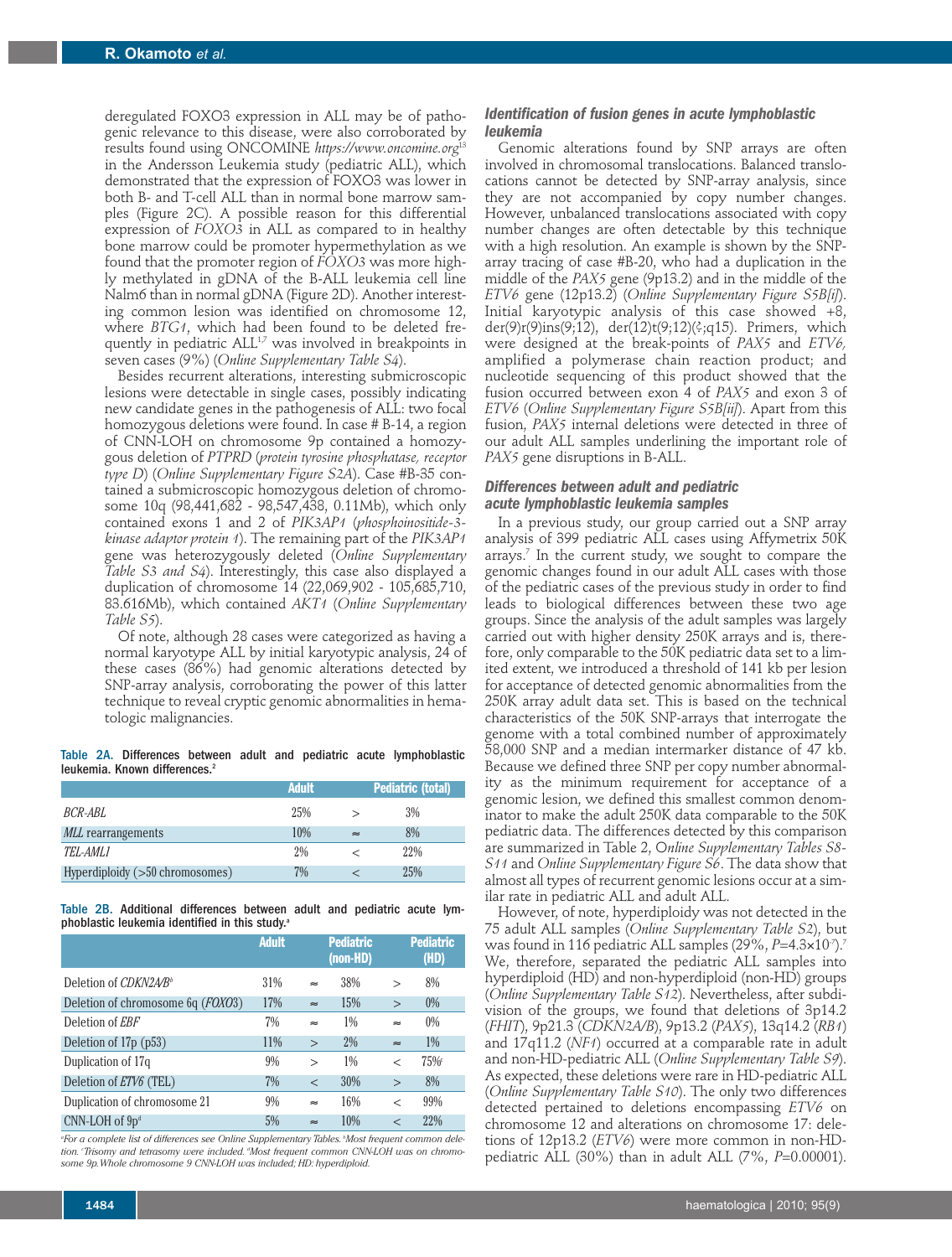deregulated FOXO3 expression in ALL may be of pathogenic relevance to this disease, were also corroborated by results found using ONCOMINE *https://www.oncomine.org*<sup>13</sup> in the Andersson Leukemia study (pediatric ALL), which demonstrated that the expression of FOXO3 was lower in both B- and T-cell ALL than in normal bone marrow samples (Figure 2C). A possible reason for this differential expression of *FOXO3* in ALL as compared to in healthy bone marrow could be promoter hypermethylation as we found that the promoter region of *FOXO3* was more highly methylated in gDNA of the B-ALL leukemia cell line Nalm6 than in normal gDNA (Figure 2D). Another interesting common lesion was identified on chromosome 12, where *BTG1*, which had been found to be deleted frequently in pediatric ALL<sup>1,7</sup> was involved in breakpoints in seven cases (9%) (*Online Supplementary Table S4*).

Besides recurrent alterations, interesting submicroscopic lesions were detectable in single cases, possibly indicating new candidate genes in the pathogenesis of ALL: two focal homozygous deletions were found. In case # B-14, a region of CNN-LOH on chromosome 9p contained a homozygous deletion of *PTPRD* (*protein tyrosine phosphatase, receptor type D*) (*Online Supplementary Figure S2A*). Case #B-35 contained a submicroscopic homozygous deletion of chromosome 10q (98,441,682 - 98,547,438, 0.11Mb), which only contained exons 1 and 2 of *PIK3AP1* (*phosphoinositide-3 kinase adaptor protein 1*). The remaining part of the *PIK3AP1* gene was heterozygously deleted (*Online Supplementary Table S3 and S4*). Interestingly, this case also displayed a duplication of chromosome 14 (22,069,902 - 105,685,710, 83.616Mb), which contained *AKT1* (*Online Supplementary Table S5*).

Of note, although 28 cases were categorized as having a normal karyotype ALL by initial karyotypic analysis, 24 of these cases (86%) had genomic alterations detected by SNP-array analysis, corroborating the power of this latter technique to reveal cryptic genomic abnormalities in hematologic malignancies.

Table 2A. Differences between adult and pediatric acute lymphoblastic leukemia. Known differences. 2

|                                 | <b>Adult</b> | <b>Pediatric (total)</b> |     |  |  |
|---------------------------------|--------------|--------------------------|-----|--|--|
| BCR-ABL                         | 25%          |                          | 3%  |  |  |
| <i>MLL</i> rearrangements       | 10%          | $\approx$                | 8%  |  |  |
| TEL-AML1                        | 2%           |                          | 22% |  |  |
| Hyperdiploidy (>50 chromosomes) | 7%           |                          | 25% |  |  |

Table 2B. Additional differences between adult and pediatric acute lymphoblastic leukemia identified in this study.<sup>a</sup>

|                                            | <b>Adult</b> |              | <b>Pediatric</b><br>(non-HD) |                | <b>Pediatric</b><br>(HD) |
|--------------------------------------------|--------------|--------------|------------------------------|----------------|--------------------------|
| Deletion of CDKN2A/B <sup>b</sup>          | 31%          | $\approx$    | 38%                          | $\mathbf{I}$   | 8%                       |
| Deletion of chromosome 6q ( <i>FOXO3</i> ) | 17%          | $\approx$    | 15%                          | $\geq$         | 0%                       |
| Deletion of <i>EBF</i>                     | 7%           | $\approx$    | 1%                           | $\approx$      | 0%                       |
| Deletion of 17p (p53)                      | 11%          | $\mathbf{I}$ | 2%                           | $\approx$      | $1\%$                    |
| Duplication of 17q                         | 9%           | $\mathbf{r}$ | 1%                           | $\,<\,$        | $75\%$                   |
| Deletion of ETV6 (TEL)                     | 7%           | $\rm <$      | 30%                          | $\mathbf{I}$   | 8%                       |
| Duplication of chromosome 21               | 9%           | $\approx$    | 16%                          | $\overline{<}$ | 99%                      |
| $CNN\text{-}LOH$ of $9pd$                  | 5%           | $\approx$    | 10%                          | $\overline{<}$ | 22%                      |

*a For a complete list of differences see Online Supplementary Tables. <sup>b</sup> Most frequent common deletion. <sup>c</sup> Trisomy and tetrasomy were included. <sup>d</sup> Most frequent common CNN-LOH was on chromosome 9p.Whole chromosome 9 CNN-LOH was included; HD: hyperdiploid.*

### *Identification of fusion genes in acute lymphoblastic leukemia*

Genomic alterations found by SNP arrays are often involved in chromosomal translocations. Balanced translocations cannot be detected by SNP-array analysis, since they are not accompanied by copy number changes. However, unbalanced translocations associated with copy number changes are often detectable by this technique with a high resolution. An example is shown by the SNParray tracing of case #B-20, who had a duplication in the middle of the *PAX5* gene (9p13.2) and in the middle of the *ETV6* gene (12p13.2) (*Online Supplementary Figure S5B[i]*). Initial karyotypic analysis of this case showed +8, der(9)r(9)ins(9;12), der(12)t(9;12)(?;q15). Primers, which were designed at the break-points of *PAX5* and *ETV6,* amplified a polymerase chain reaction product; and nucleotide sequencing of this product showed that the fusion occurred between exon 4 of *PAX5* and exon 3 of *ETV6* (*Online Supplementary Figure S5B[ii]*). Apart from this fusion, *PAX5* internal deletions were detected in three of our adult ALL samples underlining the important role of *PAX5* gene disruptions in B-ALL.

## *Differences between adult and pediatric acute lymphoblastic leukemia samples*

In a previous study, our group carried out a SNP array analysis of 399 pediatric ALL cases using Affymetrix 50K arrays. <sup>7</sup> In the current study, we sought to compare the genomic changes found in our adult ALL cases with those of the pediatric cases of the previous study in order to find leads to biological differences between these two age groups. Since the analysis of the adult samples was largely carried out with higher density 250K arrays and is, therefore, only comparable to the 50K pediatric data set to a limited extent, we introduced a threshold of 141 kb per lesion for acceptance of detected genomic abnormalities from the 250K array adult data set. This is based on the technical characteristics of the 50K SNP-arrays that interrogate the genome with a total combined number of approximately 58,000 SNP and a median intermarker distance of 47 kb. Because we defined three SNP per copy number abnormality as the minimum requirement for acceptance of a genomic lesion, we defined this smallest common denominator to make the adult 250K data comparable to the 50K pediatric data. The differences detected by this comparison are summarized in Table 2, O*nline Supplementary Tables S8- S11* and *Online Supplementary Figure S6*. The data show that almost all types of recurrent genomic lesions occur at a similar rate in pediatric ALL and adult ALL.

However, of note, hyperdiploidy was not detected in the 75 adult ALL samples (*Online Supplementary Table S2*), but was found in 116 pediatric ALL samples (29%, *P=*4.3×10<sup>.</sup>7).<sup>7</sup> We, therefore, separated the pediatric ALL samples into hyperdiploid (HD) and non-hyperdiploid (non-HD) groups (*Online Supplementary Table S12*). Nevertheless, after subdivision of the groups, we found that deletions of 3p14.2 (*FHIT*), 9p21.3 (*CDKN2A/B*), 9p13.2 (*PAX5*), 13q14.2 (*RB1*) and 17q11.2 (*NF1*) occurred at a comparable rate in adult and non-HD-pediatric ALL (*Online Supplementary Table S9*). As expected, these deletions were rare in HD-pediatric ALL (*Online Supplementary Table S10*). The only two differences detected pertained to deletions encompassing *ETV6* on chromosome 12 and alterations on chromosome 17: deletions of 12p13.2 (*ETV6*) were more common in non-HDpediatric ALL (30%) than in adult ALL (7%, *P*=0.00001).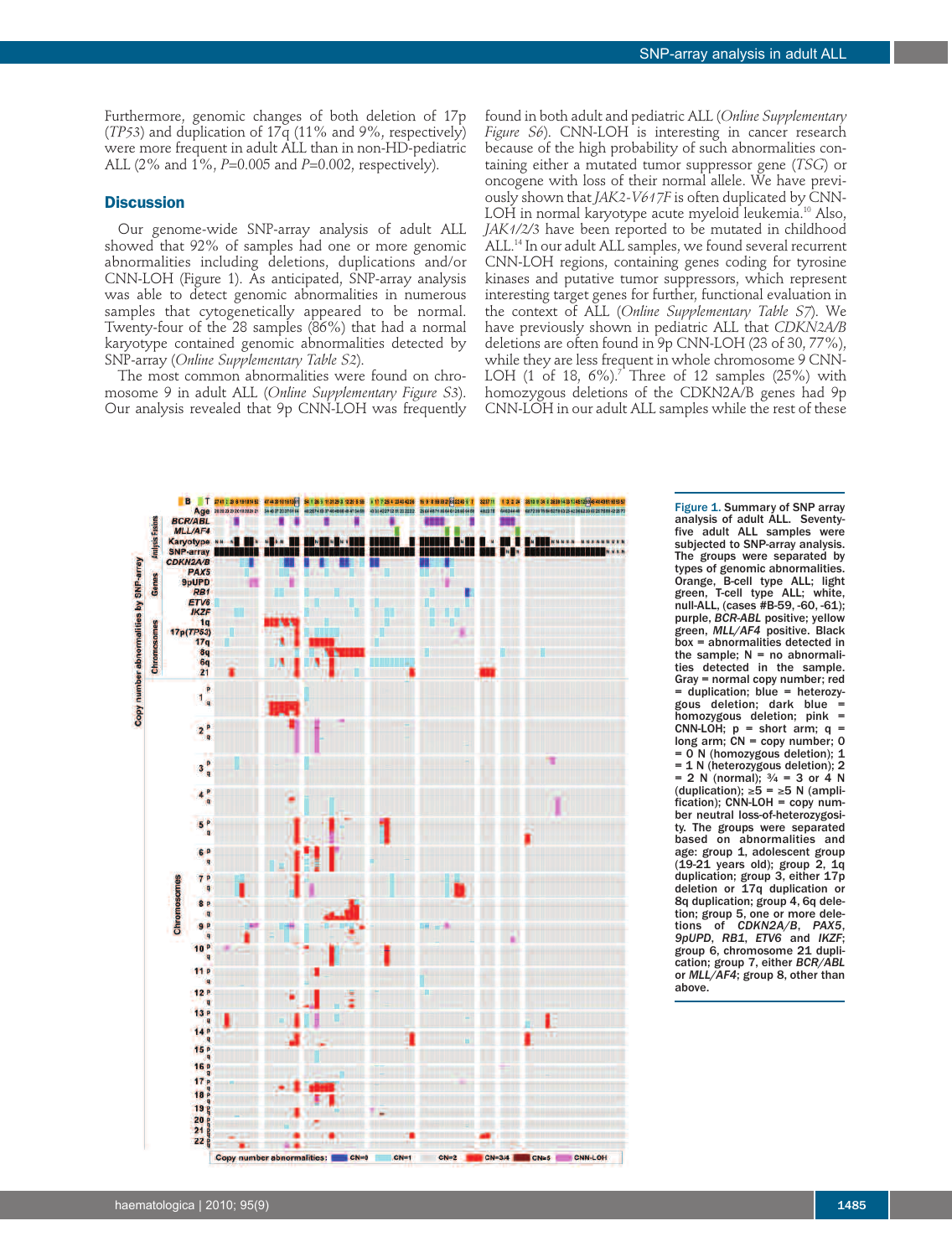Furthermore, genomic changes of both deletion of 17p (*TP53*) and duplication of 17q (11% and 9%, respectively) were more frequent in adult ALL than in non-HD-pediatric ALL (2% and 1%, *P*=0.005 and *P*=0.002, respectively).

## **Discussion**

Our genome-wide SNP-array analysis of adult ALL showed that 92% of samples had one or more genomic abnormalities including deletions, duplications and/or CNN-LOH (Figure 1). As anticipated, SNP-array analysis was able to detect genomic abnormalities in numerous samples that cytogenetically appeared to be normal. Twenty-four of the 28 samples (86%) that had a normal karyotype contained genomic abnormalities detected by SNP-array (*Online Supplementary Table S2*).

The most common abnormalities were found on chromosome 9 in adult ALL (*Online Supplementary Figure S3*). Our analysis revealed that 9p CNN-LOH was frequently

found in both adult and pediatric ALL (*Online Supplementary Figure S6*). CNN-LOH is interesting in cancer research because of the high probability of such abnormalities containing either a mutated tumor suppressor gene (*TSG*) or oncogene with loss of their normal allele. We have previously shown that *JAK2-V617F* is often duplicated by CNN-LOH in normal karyotype acute myeloid leukemia. <sup>10</sup> Also, *JAK1/2/3* have been reported to be mutated in childhood ALL. <sup>14</sup> In our adult ALL samples, we found several recurrent CNN-LOH regions, containing genes coding for tyrosine kinases and putative tumor suppressors, which represent interesting target genes for further, functional evaluation in the context of ALL (*Online Supplementary Table S7*). We have previously shown in pediatric ALL that *CDKN2A/B* deletions are often found in 9p CNN-LOH (23 of 30, 77%), while they are less frequent in whole chromosome 9 CNN-LOH (1 of 18, 6%). <sup>7</sup> Three of 12 samples (25%) with homozygous deletions of the CDKN2A/B genes had 9p CNN-LOH in our adult ALL samples while the rest of these



Figure 1. Summary of SNP array analysis of adult ALL. Seventyfive adult ALL samples were subjected to SNP-array analysis. The groups were separated by types of genomic abnormalities. Orange, B-cell type ALL; light<br>green, T-cell type ALL; white, T-cell type ALL; white, null-ALL, (cases #B-59, -60, -61); purple, *BCR-ABL* positive; yellow green, *MLL/AF4* positive. Black box = abnormalities detected in the sample:  $N = no$  abnormalities detected in the sample. Gray = normal copy number; red = duplication; blue = heterozygous deletion; dark blue = homozygous deletion; pink = CNN-LOH;  $p =$  short arm;  $q =$ long arm;  $CN = copy$  number; 0 = 0 N (homozygous deletion); 1 = 1 N (heterozygous deletion); 2  $= 2 N$  (normal);  $\frac{3}{4} = 3$  or 4 N (duplication); ≥5 = ≥5 N (amplification); CNN-LOH = copy number neutral loss-of-heterozygosity. The groups were separated based on abnormalities and age: group 1, adolescent group (19-21 years old); group 2, 1q duplication; group 3, either 17p deletion or 17q duplication or 8q duplication; group 4, 6q deletion; group 5, one or more deletions of *CDKN2A/B*, *PAX5*, *9pUPD*, *RB1*, *ETV6* and *IKZF*; group 6, chromosome 21 duplication; group 7, either *BCR/ABL* or *MLL/AF4*; group 8, other than above.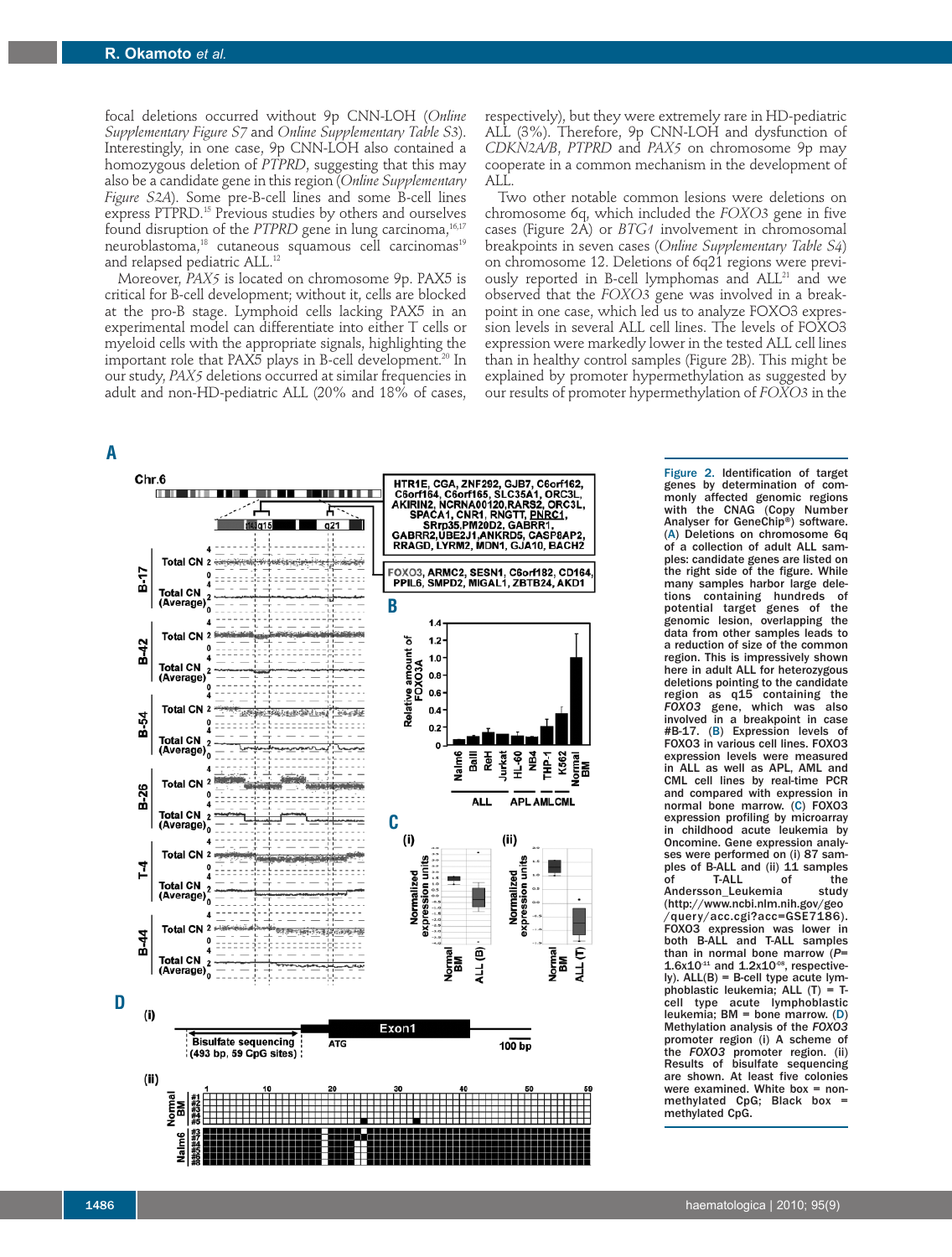focal deletions occurred without 9p CNN-LOH (*Online Supplementary Figure S7* and *Online Supplementary Table S3*). Interestingly, in one case, 9p CNN-LOH also contained a homozygous deletion of *PTPRD*, suggesting that this may also be a candidate gene in this region (*Online Supplementary Figure S2A*). Some pre-B-cell lines and some B-cell lines express PTPRD. <sup>15</sup> Previous studies by others and ourselves found disruption of the *PTPRD* gene in lung carcinoma, 16,17 neuroblastoma, <sup>18</sup> cutaneous squamous cell carcinomas 19 and relapsed pediatric ALL. 12

Moreover, *PAX5* is located on chromosome 9p. PAX5 is critical for B-cell development; without it, cells are blocked at the pro-B stage. Lymphoid cells lacking PAX5 in an experimental model can differentiate into either T cells or myeloid cells with the appropriate signals, highlighting the important role that PAX5 plays in B-cell development. <sup>20</sup> In our study, *PAX5* deletions occurred at similar frequencies in adult and non-HD-pediatric ALL (20% and 18% of cases,

respectively), but they were extremely rare in HD-pediatric ALL (3%). Therefore, 9p CNN-LOH and dysfunction of *CDKN2A/B*, *PTPRD* and *PAX5* on chromosome 9p may cooperate in a common mechanism in the development of ALL.

Two other notable common lesions were deletions on chromosome 6q, which included the *FOXO3* gene in five cases (Figure 2A) or *BTG1* involvement in chromosomal breakpoints in seven cases (*Online Supplementary Table S4*) on chromosome 12. Deletions of 6q21 regions were previously reported in B-cell lymphomas and ALL<sup>21</sup> and we observed that the *FOXO3* gene was involved in a breakpoint in one case, which led us to analyze FOXO3 expression levels in several ALL cell lines. The levels of FOXO3 expression were markedly lower in the tested ALL cell lines than in healthy control samples (Figure 2B). This might be explained by promoter hypermethylation as suggested by our results of promoter hypermethylation of *FOXO3* in the



Figure 2. Identification of target genes by determination of commonly affected genomic regions with the CNAG (Copy Number Analyser for GeneChip®) software. (A) Deletions on chromosome 6q of a collection of adult ALL samples: candidate genes are listed on the right side of the figure. While many samples harbor large deletions containing hundreds of potential target genes of the genomic lesion, overlapping the data from other samples leads to a reduction of size of the common region. This is impressively shown here in adult ALL for heterozygous deletions pointing to the candidate region as q15 containing the *FOXO3* gene, which was also involved in a breakpoint in case #B-17. (B) Expression levels of FOXO3 in various cell lines. FOXO3 expression levels were measured in ALL as well as APL, AML and CML cell lines by real-time PCR and compared with expression in normal bone marrow. (C) FOXO3 expression profiling by microarray in childhood acute leukemia by Oncomine. Gene expression analyses were performed on (i) 87 samples of B-ALL and (ii) 11 samples<br>of T-ALL of the T-ALL of the<br>on Leukemia study Andersson\_Leukemia (http://www.ncbi.nlm.nih.gov/geo /query/acc.cgi?acc=GSE7186). FOXO3 expression was lower in both B-ALL and T-ALL samples than in normal bone marrow (P=<br>1.6x10<sup>-1</sup> and 1.2x10<sup>-08</sup>, respectively). ALL(B) = B-cell type acute lymphoblastic leukemia; ALL  $(T) = T$ cell type acute lymphoblastic leukemia; BM = bone marrow. (D) Methylation analysis of the *FOXO3* promoter region (i) A scheme of the *FOXO3* promoter region. (ii) Results of bisulfate sequencing are shown. At least five colonies were examined. White box = nonmethylated CpG; Black box methylated CpG.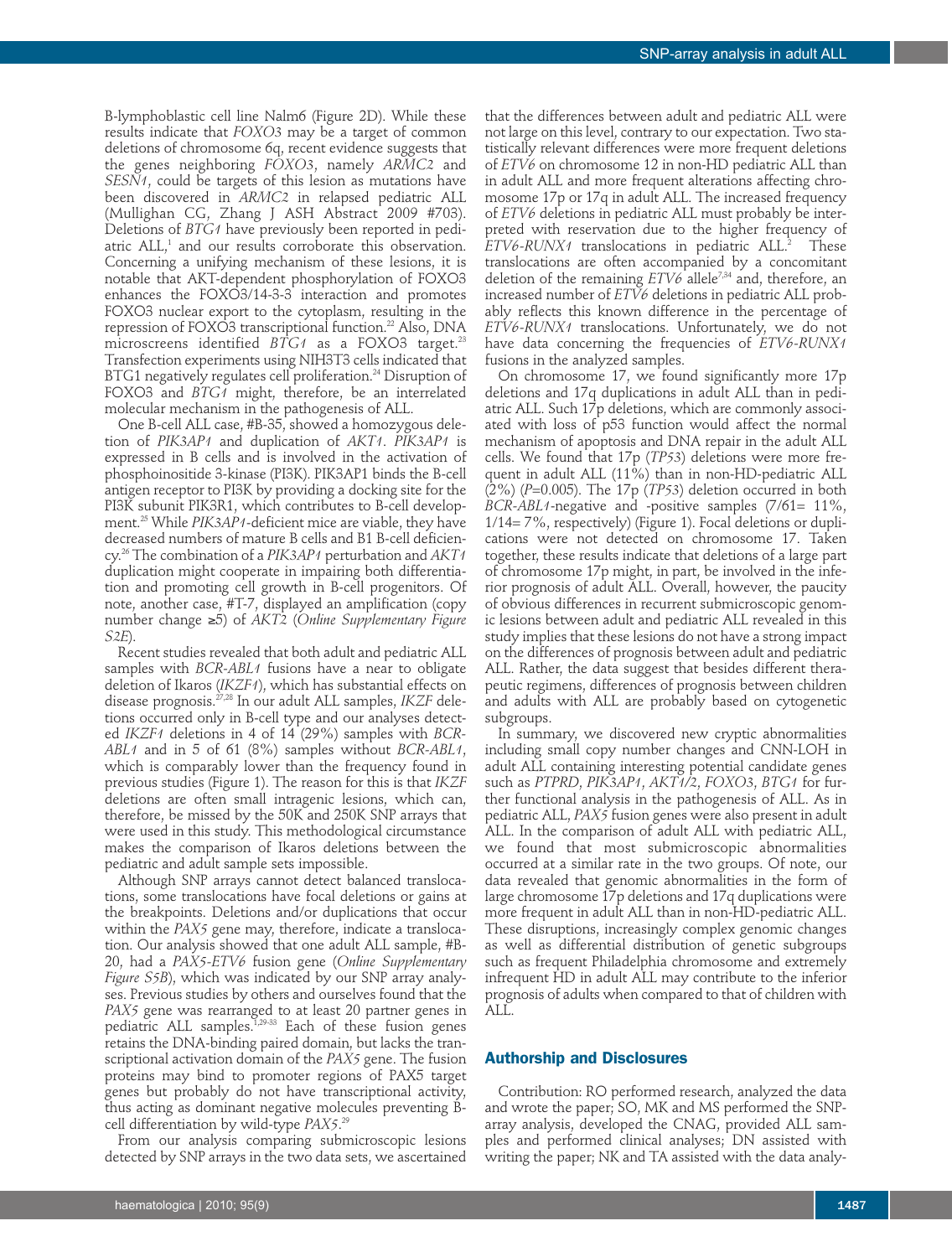B-lymphoblastic cell line Nalm6 (Figure 2D). While these results indicate that *FOXO3* may be a target of common deletions of chromosome 6q, recent evidence suggests that the genes neighboring *FOXO3*, namely *ARMC2* and *SESN1*, could be targets of this lesion as mutations have been discovered in *ARMC2* in relapsed pediatric ALL (Mullighan CG, Zhang J ASH Abstract 2009 #703). Deletions of *BTG1* have previously been reported in pediatric ALL, <sup>1</sup> and our results corroborate this observation. Concerning a unifying mechanism of these lesions, it is notable that AKT-dependent phosphorylation of FOXO3 enhances the FOXO3/14-3-3 interaction and promotes FOXO3 nuclear export to the cytoplasm, resulting in the repression of FOXO3 transcriptional function. <sup>22</sup> Also, DNA microscreens identified *BTG1* as a FOXO3 target. 23 Transfection experiments using NIH3T3 cells indicated that BTG1 negatively regulates cell proliferation. <sup>24</sup> Disruption of FOXO3 and *BTG1* might, therefore, be an interrelated molecular mechanism in the pathogenesis of ALL.

One B-cell ALL case, #B-35, showed a homozygous deletion of *PIK3AP1* and duplication of *AKT1*. *PIK3AP1* is expressed in B cells and is involved in the activation of phosphoinositide 3-kinase (PI3K). PIK3AP1 binds the B-cell antigen receptor to PI3K by providing a docking site for the PI3K subunit PIK3R1, which contributes to B-cell development. <sup>25</sup> While *PIK3AP1*-deficient mice are viable, they have decreased numbers of mature B cells and B1 B-cell deficiency. <sup>26</sup> The combination of a *PIK3AP1* perturbation and *AKT1* duplication might cooperate in impairing both differentiation and promoting cell growth in B-cell progenitors. Of note, another case, #T-7, displayed an amplification (copy number change ≥5) of *AKT2* (*Online Supplementary Figure S2E*).

Recent studies revealed that both adult and pediatric ALL samples with *BCR-ABL1* fusions have a near to obligate deletion of Ikaros (*IKZF1*), which has substantial effects on disease prognosis. 27,28 In our adult ALL samples, *IKZF* deletions occurred only in B-cell type and our analyses detected *IKZF1* deletions in 4 of 14 (29%) samples with *BCR-ABL1* and in 5 of 61 (8%) samples without *BCR-ABL1*, which is comparably lower than the frequency found in previous studies (Figure 1). The reason for this is that *IKZF* deletions are often small intragenic lesions, which can, therefore, be missed by the 50K and 250K SNP arrays that were used in this study. This methodological circumstance makes the comparison of Ikaros deletions between the pediatric and adult sample sets impossible.

Although SNP arrays cannot detect balanced translocations, some translocations have focal deletions or gains at the breakpoints. Deletions and/or duplications that occur within the *PAX5* gene may, therefore, indicate a translocation. Our analysis showed that one adult ALL sample, #B-20, had a *PAX5-ETV6* fusion gene (*Online Supplementary Figure S5B*), which was indicated by our SNP array analyses. Previous studies by others and ourselves found that the *PAX5* gene was rearranged to at least 20 partner genes in pediatric ALL samples.<sup>1,29-33</sup> Each of these fusion genes retains the DNA-binding paired domain, but lacks the transcriptional activation domain of the *PAX5* gene. The fusion proteins may bind to promoter regions of PAX5 target genes but probably do not have transcriptional activity, thus acting as dominant negative molecules preventing Bcell differentiation by wild-type *PAX5*. 29

From our analysis comparing submicroscopic lesions detected by SNP arrays in the two data sets, we ascertained

that the differences between adult and pediatric ALL were not large on this level, contrary to our expectation. Two statistically relevant differences were more frequent deletions of *ETV6* on chromosome 12 in non-HD pediatric ALL than in adult ALL and more frequent alterations affecting chromosome 17p or 17q in adult ALL. The increased frequency of *ETV6* deletions in pediatric ALL must probably be interpreted with reservation due to the higher frequency of *ETV6-RUNX1* translocations in pediatric ALL. **These** translocations are often accompanied by a concomitant deletion of the remaining *ETV6* allele<sup>7,34</sup> and, therefore, an increased number of *ETV6* deletions in pediatric ALL probably reflects this known difference in the percentage of *ETV6-RUNX1* translocations. Unfortunately, we do not have data concerning the frequencies of *ETV6-RUNX1* fusions in the analyzed samples.

On chromosome 17, we found significantly more 17p deletions and 17q duplications in adult ALL than in pediatric ALL. Such 17p deletions, which are commonly associated with loss of p53 function would affect the normal mechanism of apoptosis and DNA repair in the adult ALL cells. We found that 17p (*TP53*) deletions were more frequent in adult ALL (11%) than in non-HD-pediatric ALL (2%) (*P*=0.005). The 17p (*TP53*) deletion occurred in both *BCR-ABL1*-negative and -positive samples (7/61= 11%, 1/14= 7%, respectively) (Figure 1). Focal deletions or duplications were not detected on chromosome 17. Taken together, these results indicate that deletions of a large part of chromosome 17p might, in part, be involved in the inferior prognosis of adult ALL. Overall, however, the paucity of obvious differences in recurrent submicroscopic genomic lesions between adult and pediatric ALL revealed in this study implies that these lesions do not have a strong impact on the differences of prognosis between adult and pediatric ALL. Rather, the data suggest that besides different therapeutic regimens, differences of prognosis between children and adults with ALL are probably based on cytogenetic subgroups.

In summary, we discovered new cryptic abnormalities including small copy number changes and CNN-LOH in adult ALL containing interesting potential candidate genes such as *PTPRD*, *PIK3AP1*, *AKT1/2*, *FOXO3*, *BTG1* for further functional analysis in the pathogenesis of ALL. As in pediatric ALL, *PAX5* fusion genes were also present in adult ALL. In the comparison of adult ALL with pediatric ALL, we found that most submicroscopic abnormalities occurred at a similar rate in the two groups. Of note, our data revealed that genomic abnormalities in the form of large chromosome 17p deletions and 17q duplications were more frequent in adult ALL than in non-HD-pediatric ALL. These disruptions, increasingly complex genomic changes as well as differential distribution of genetic subgroups such as frequent Philadelphia chromosome and extremely infrequent HD in adult ALL may contribute to the inferior prognosis of adults when compared to that of children with ALL.

#### **Authorship and Disclosures**

Contribution: RO performed research, analyzed the data and wrote the paper; SO, MK and MS performed the SNParray analysis, developed the CNAG, provided ALL samples and performed clinical analyses; DN assisted with writing the paper; NK and TA assisted with the data analy